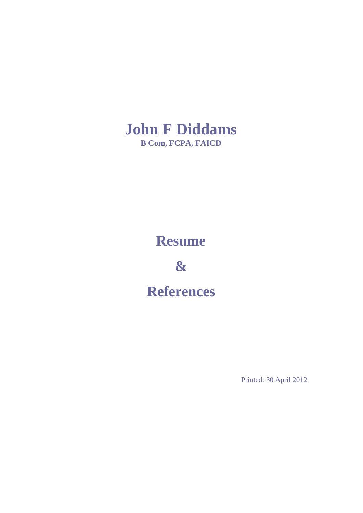

### **Resume**

**&**

**References**

Printed: 30 April 2012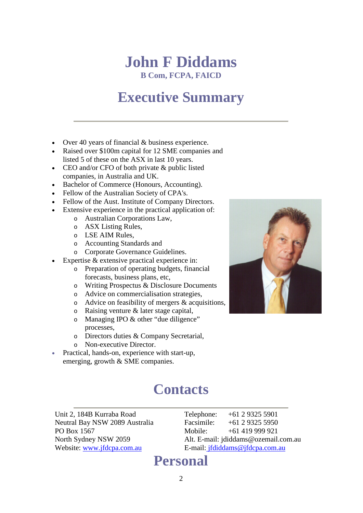# **John F Diddams**

**B Com, FCPA, FAICD**

# **Executive Summary**

- Over 40 years of financial & business experience.
- Raised over \$100m capital for 12 SME companies and listed 5 of these on the ASX in last 10 years.
- CEO and/or CFO of both private & public listed companies, in Australia and UK.
- Bachelor of Commerce (Honours, Accounting).
- Fellow of the Australian Society of CPA's.
- Fellow of the Aust. Institute of Company Directors.
- Extensive experience in the practical application of:
	- o Australian Corporations Law,
	- o ASX Listing Rules,
	- o LSE AIM Rules,
	- o Accounting Standards and
	- o Corporate Governance Guidelines.
- Expertise  $&$  extensive practical experience in:
	- o Preparation of operating budgets, financial forecasts, business plans, etc,
	- o Writing Prospectus & Disclosure Documents
	- o Advice on commercialisation strategies,
	- o Advice on feasibility of mergers & acquisitions,
	- o Raising venture & later stage capital,
	- o Managing IPO & other "due diligence" processes,
	- o Directors duties & Company Secretarial,
	- o Non-executive Director.
- Practical, hands-on, experience with start-up, emerging, growth & SME companies.

### **Contacts**

Unit 2, 184B Kurraba Road Telephone: +61 2 9325 5901 Neutral Bay NSW 2089 Australia Facsimile: +61 2 9325 5950 PO Box 1567<br>
Nobile: +61 419 999 921<br>
Nobile: +61 419 999 921<br>
Alt. E-mail: jdiddams@ozemail.

Alt. E-mail: [jdiddams@ozemail.com.au](mailto:jdiddams@ozemail.com.au) Website: [www.jfdcpa.com.au](http://www.jfdcpa.com.au/) E-mail: [jfdiddams@jfdcpa.com.au](mailto:jfdiddams@jfdcpa.com.au)

### **Personal**

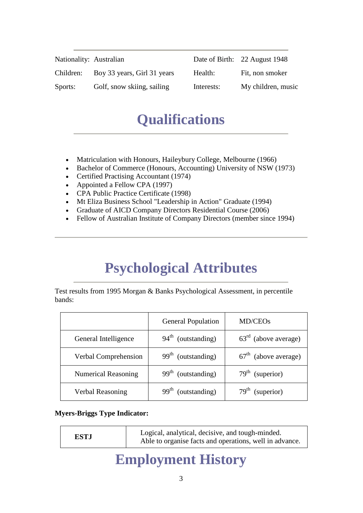| Nationality: Australian |                             |            | Date of Birth: 22 August 1948 |
|-------------------------|-----------------------------|------------|-------------------------------|
| Children:               | Boy 33 years, Girl 31 years | Health:    | Fit, non smoker               |
| Sports:                 | Golf, snow skiing, sailing  | Interests: | My children, music            |

### **Qualifications**

- Matriculation with Honours, Haileybury College, Melbourne (1966)
- Bachelor of Commerce (Honours, Accounting) University of NSW (1973)
- Certified Practising Accountant (1974)
- Appointed a Fellow CPA (1997)
- CPA Public Practice Certificate (1998)
- Mt Eliza Business School "Leadership in Action" Graduate (1994)
- Graduate of AICD Company Directors Residential Course (2006)
- Fellow of Australian Institute of Company Directors (member since 1994)

## **Psychological Attributes**

Test results from 1995 Morgan & Banks Psychological Assessment, in percentile bands:

|                            | <b>General Population</b> | MD/CEO <sub>s</sub>    |
|----------------------------|---------------------------|------------------------|
| General Intelligence       | $94th$ (outstanding)      | $63rd$ (above average) |
| Verbal Comprehension       | $99th$ (outstanding)      | $67th$ (above average) |
| <b>Numerical Reasoning</b> | $99th$ (outstanding)      | $79th$ (superior)      |
| <b>Verbal Reasoning</b>    | $99th$ (outstanding)      | $79th$ (superior)      |

#### **Myers-Briggs Type Indicator:**

| <b>ESTJ</b> | Logical, analytical, decisive, and tough-minded.<br>Able to organise facts and operations, well in advance. |
|-------------|-------------------------------------------------------------------------------------------------------------|
|-------------|-------------------------------------------------------------------------------------------------------------|

### **Employment History**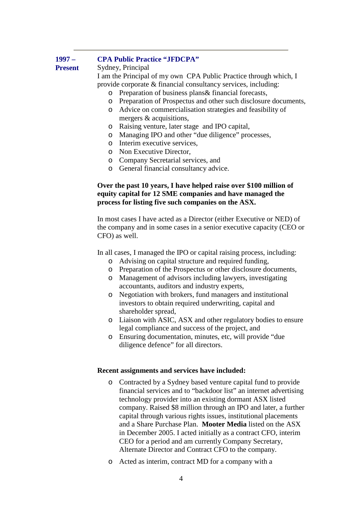#### **1997 – Present CPA Public Practice "JFDCPA"** Sydney, Principal I am the Principal of my own CPA Public Practice through which, I provide corporate & financial consultancy services, including: o Preparation of business plans& financial forecasts, o Preparation of Prospectus and other such disclosure documents, o Advice on commercialisation strategies and feasibility of

- mergers & acquisitions,
- o Raising venture, later stage and IPO capital,
- o Managing IPO and other "due diligence" processes,
- o Interim executive services,
- o Non Executive Director,
- o Company Secretarial services, and
- o General financial consultancy advice.

#### **Over the past 10 years, I have helped raise over \$100 million of equity capital for 12 SME companies and have managed the process for listing five such companies on the ASX.**

In most cases I have acted as a Director (either Executive or NED) of the company and in some cases in a senior executive capacity (CEO or CFO) as well.

In all cases, I managed the IPO or capital raising process, including:

- o Advising on capital structure and required funding,
- o Preparation of the Prospectus or other disclosure documents,
- o Management of advisors including lawyers, investigating accountants, auditors and industry experts,
- o Negotiation with brokers, fund managers and institutional investors to obtain required underwriting, capital and shareholder spread.
- o Liaison with ASIC, ASX and other regulatory bodies to ensure legal compliance and success of the project, and
- o Ensuring documentation, minutes, etc, will provide "due diligence defence" for all directors.

#### **Recent assignments and services have included:**

- o Contracted by a Sydney based venture capital fund to provide financial services and to "backdoor list" an internet advertising technology provider into an existing dormant ASX listed company. Raised \$8 million through an IPO and later, a further capital through various rights issues, institutional placements and a Share Purchase Plan. **Mooter Media** listed on the ASX in December 2005. I acted initially as a contract CFO, interim CEO for a period and am currently Company Secretary, Alternate Director and Contract CFO to the company.
- o Acted as interim, contract MD for a company with a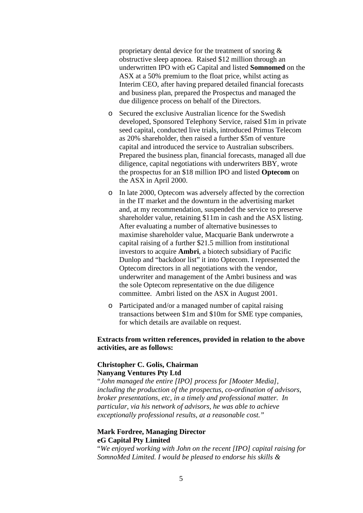proprietary dental device for the treatment of snoring & obstructive sleep apnoea. Raised \$12 million through an underwritten IPO with eG Capital and listed **Somnomed** on the ASX at a 50% premium to the float price, whilst acting as Interim CEO, after having prepared detailed financial forecasts and business plan, prepared the Prospectus and managed the due diligence process on behalf of the Directors.

- o Secured the exclusive Australian licence for the Swedish developed, Sponsored Telephony Service, raised \$1m in private seed capital, conducted live trials, introduced Primus Telecom as 20% shareholder, then raised a further \$5m of venture capital and introduced the service to Australian subscribers. Prepared the business plan, financial forecasts, managed all due diligence, capital negotiations with underwriters BBY, wrote the prospectus for an \$18 million IPO and listed **Optecom** on the ASX in April 2000.
- o In late 2000, Optecom was adversely affected by the correction in the IT market and the downturn in the advertising market and, at my recommendation, suspended the service to preserve shareholder value, retaining \$11m in cash and the ASX listing. After evaluating a number of alternative businesses to maximise shareholder value, Macquarie Bank underwrote a capital raising of a further \$21.5 million from institutional investors to acquire **Ambri**, a biotech subsidiary of Pacific Dunlop and "backdoor list" it into Optecom. I represented the Optecom directors in all negotiations with the vendor, underwriter and management of the Ambri business and was the sole Optecom representative on the due diligence committee. Ambri listed on the ASX in August 2001.
- o Participated and/or a managed number of capital raising transactions between \$1m and \$10m for SME type companies, for which details are available on request.

#### **Extracts from written references, provided in relation to the above activities, are as follows:**

### **Christopher C. Golis, Chairman**

#### **Nanyang Ventures Pty Ltd**

"*John managed the entire [IPO] process for [Mooter Media], including the production of the prospectus, co-ordination of advisors, broker presentations, etc, in a timely and professional matter. In particular, via his network of advisors, he was able to achieve exceptionally professional results, at a reasonable cost."*

#### **Mark Fordree, Managing Director eG Capital Pty Limited**

"*We enjoyed working with John on the recent [IPO] capital raising for SomnoMed Limited. I would be pleased to endorse his skills &*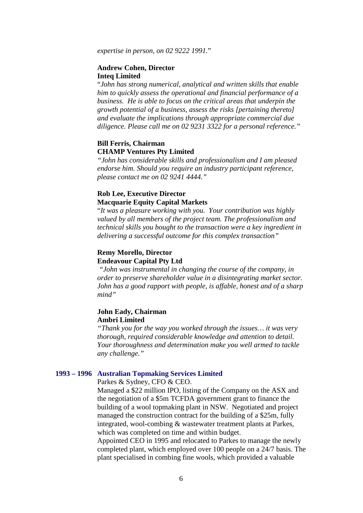*expertise in person, on 02 9222 1991.*"

#### **Andrew Cohen, Director Inteq Limited**

"*John has strong numerical, analytical and written skills that enable him to quickly assess the operational and financial performance of a business. He is able to focus on the critical areas that underpin the growth potential of a business, assess the risks [pertaining thereto] and evaluate the implications through appropriate commercial due diligence. Please call me on 02 9231 3322 for a personal reference."*

#### **Bill Ferris, Chairman CHAMP Ventures Pty Limited**

*"John has considerable skills and professionalism and I am pleased endorse him. Should you require an industry participant reference, please contact me on 02 9241 4444."* 

#### **Rob Lee, Executive Director Macquarie Equity Capital Markets**

"*It was a pleasure working with you. Your contribution was highly valued by all members of the project team. The professionalism and technical skills you bought to the transaction were a key ingredient in delivering a successful outcome for this complex transaction"*

#### **Remy Morello, Director Endeavour Capital Pty Ltd**

*"John was instrumental in changing the course of the company, in order to preserve shareholder value in a disintegrating market sector. John has a good rapport with people, is affable, honest and of a sharp mind"*

#### **John Eady, Chairman Ambri Limited**

*"Thank you for the way you worked through the issues… it was very thorough, required considerable knowledge and attention to detail. Your thoroughness and determination make you well armed to tackle any challenge."*

#### **1993 – 1996 Australian Topmaking Services Limited**

Parkes & Sydney, CFO & CEO.

Managed a \$22 million IPO, listing of the Company on the ASX and the negotiation of a \$5m TCFDA government grant to finance the building of a wool topmaking plant in NSW. Negotiated and project managed the construction contract for the building of a \$25m, fully integrated, wool-combing & wastewater treatment plants at Parkes, which was completed on time and within budget.

Appointed CEO in 1995 and relocated to Parkes to manage the newly completed plant, which employed over 100 people on a 24/7 basis. The plant specialised in combing fine wools, which provided a valuable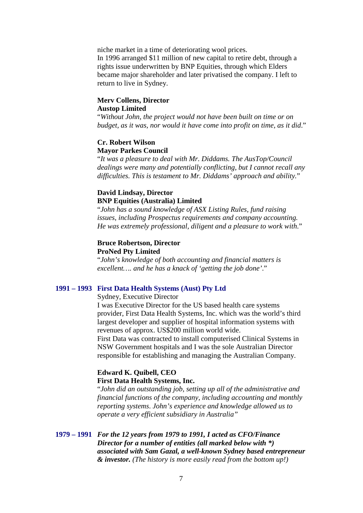niche market in a time of deteriorating wool prices. In 1996 arranged \$11 million of new capital to retire debt, through a rights issue underwritten by BNP Equities, through which Elders became major shareholder and later privatised the company. I left to return to live in Sydney.

#### **Merv Collens, Director Austop Limited**

"*Without John, the project would not have been built on time or on budget, as it was, nor would it have come into profit on time, as it did*."

#### **Cr. Robert Wilson Mayor Parkes Council**

"*It was a pleasure to deal with Mr. Diddams. The AusTop/Council dealings were many and potentially conflicting, but I cannot recall any difficulties. This is testament to Mr. Diddams' approach and ability.*"

#### **David Lindsay, Director BNP Equities (Australia) Limited**

"*John has a sound knowledge of ASX Listing Rules, fund raising issues, including Prospectus requirements and company accounting. He was extremely professional, diligent and a pleasure to work with*."

#### **Bruce Robertson, Director ProNed Pty Limited**

"*John's knowledge of both accounting and financial matters is excellent…. and he has a knack of 'getting the job done'*."

#### **1991 – 1993 First Data Health Systems (Aust) Pty Ltd**

Sydney, Executive Director

I was Executive Director for the US based health care systems provider, First Data Health Systems, Inc. which was the world's third largest developer and supplier of hospital information systems with revenues of approx. US\$200 million world wide.

First Data was contracted to install computerised Clinical Systems in NSW Government hospitals and I was the sole Australian Director responsible for establishing and managing the Australian Company.

#### **Edward K. Quibell, CEO First Data Health Systems, Inc.**

"*John did an outstanding job, setting up all of the administrative and financial functions of the company, including accounting and monthly reporting systems*. *John's experience and knowledge allowed us to operate a very efficient subsidiary in Australia"*

**1979 – 1991** *For the 12 years from 1979 to 1991, I acted as CFO/Finance Director for a number of entities (all marked below with \*) associated with Sam Gazal, a well-known Sydney based entrepreneur & investor. (The history is more easily read from the bottom up!)*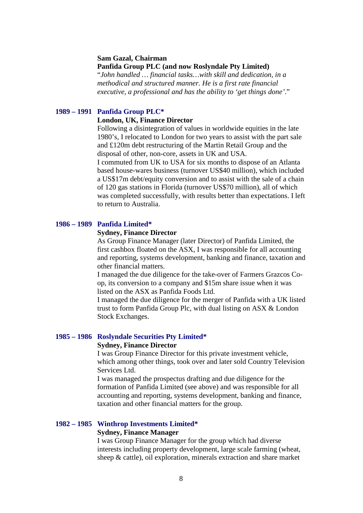#### **Sam Gazal, Chairman**

**Panfida Group PLC (and now Roslyndale Pty Limited)**

"*John handled … financial tasks…with skill and dedication, in a methodical and structured manner. He is a first rate financial executive, a professional and has the ability to 'get things done'*."

#### **1989 – 1991 Panfida Group PLC\***

#### **London, UK, Finance Director**

Following a disintegration of values in worldwide equities in the late 1980's, I relocated to London for two years to assist with the part sale and £120m debt restructuring of the Martin Retail Group and the disposal of other, non-core, assets in UK and USA.

I commuted from UK to USA for six months to dispose of an Atlanta based house-wares business (turnover US\$40 million), which included a US\$17m debt/equity conversion and to assist with the sale of a chain of 120 gas stations in Florida (turnover US\$70 million), all of which was completed successfully, with results better than expectations. I left to return to Australia.

#### **1986 – 1989 Panfida Limited\***

#### **Sydney, Finance Director**

As Group Finance Manager (later Director) of Panfida Limited, the first cashbox floated on the ASX, I was responsible for all accounting and reporting, systems development, banking and finance, taxation and other financial matters.

I managed the due diligence for the take-over of Farmers Grazcos Coop, its conversion to a company and \$15m share issue when it was listed on the ASX as Panfida Foods Ltd.

I managed the due diligence for the merger of Panfida with a UK listed trust to form Panfida Group Plc, with dual listing on ASX & London Stock Exchanges.

#### **1985 – 1986 Roslyndale Securities Pty Limited\***

#### **Sydney, Finance Director**

I was Group Finance Director for this private investment vehicle, which among other things, took over and later sold Country Television Services Ltd.

I was managed the prospectus drafting and due diligence for the formation of Panfida Limited (see above) and was responsible for all accounting and reporting, systems development, banking and finance, taxation and other financial matters for the group.

#### **1982 – 1985 Winthrop Investments Limited\***

#### **Sydney, Finance Manager**

I was Group Finance Manager for the group which had diverse interests including property development, large scale farming (wheat, sheep & cattle), oil exploration, minerals extraction and share market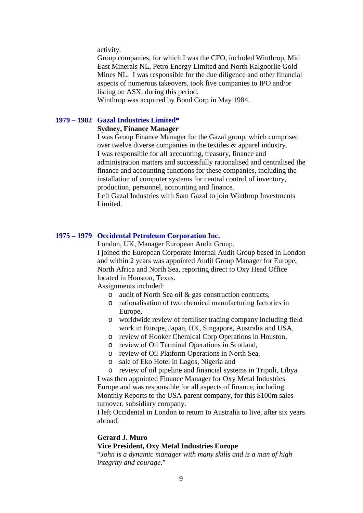activity.

Group companies, for which I was the CFO, included Winthrop, Mid East Minerals NL, Petro Energy Limited and North Kalgoorlie Gold Mines NL. I was responsible for the due diligence and other financial aspects of numerous takeovers, took five companies to IPO and/or listing on ASX, during this period.

Winthrop was acquired by Bond Corp in May 1984.

#### **1979 – 1982 Gazal Industries Limited\***

#### **Sydney, Finance Manager**

I was Group Finance Manager for the Gazal group, which comprised over twelve diverse companies in the textiles & apparel industry. I was responsible for all accounting, treasury, finance and administration matters and successfully rationalised and centralised the finance and accounting functions for these companies, including the installation of computer systems for central control of inventory, production, personnel, accounting and finance.

Left Gazal Industries with Sam Gazal to join Winthrop Investments Limited.

#### **1975 – 1979 Occidental Petroleum Corporation Inc.**

London, UK, Manager European Audit Group. I joined the European Corporate Internal Audit Group based in London and within 2 years was appointed Audit Group Manager for Europe, North Africa and North Sea, reporting direct to Oxy Head Office located in Houston, Texas.

Assignments included:

- o audit of North Sea oil & gas construction contracts,
- o rationalisation of two chemical manufacturing factories in Europe,
- o worldwide review of fertiliser trading company including field work in Europe, Japan, HK, Singapore, Australia and USA,
- o review of Hooker Chemical Corp Operations in Houston,
- o review of Oil Terminal Operations in Scotland,
- o review of Oil Platform Operations in North Sea,
- o sale of Eko Hotel in Lagos, Nigeria and
- o review of oil pipeline and financial systems in Tripoli, Libya.

I was then appointed Finance Manager for Oxy Metal Industries Europe and was responsible for all aspects of finance, including Monthly Reports to the USA parent company, for this \$100m sales turnover, subsidiary company.

I left Occidental in London to return to Australia to live, after six years abroad.

#### **Gerard J. Muro**

#### **Vice President, Oxy Metal Industries Europe**

"*John is a dynamic manager with many skills and is a man of high integrity and courage*."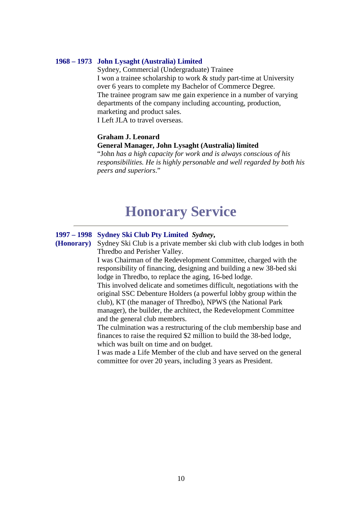#### **1968 – 1973 John Lysaght (Australia) Limited**

Sydney, Commercial (Undergraduate) Trainee I won a trainee scholarship to work & study part-time at University over 6 years to complete my Bachelor of Commerce Degree. The trainee program saw me gain experience in a number of varying departments of the company including accounting, production, marketing and product sales. I Left JLA to travel overseas.

**Graham J. Leonard**

#### **General Manager, John Lysaght (Australia) limited**

"John *has a high capacity for work and is always conscious of his responsibilities. He is highly personable and well regarded by both his peers and superiors*."

### **Honorary Service**

#### **1997 – 1998 Sydney Ski Club Pty Limited** *Sydney***,**

**(Honorary)** Sydney Ski Club is a private member ski club with club lodges in both Thredbo and Perisher Valley.

> I was Chairman of the Redevelopment Committee, charged with the responsibility of financing, designing and building a new 38-bed ski lodge in Thredbo, to replace the aging, 16-bed lodge.

> This involved delicate and sometimes difficult, negotiations with the original SSC Debenture Holders (a powerful lobby group within the club), KT (the manager of Thredbo), NPWS (the National Park manager), the builder, the architect, the Redevelopment Committee and the general club members.

The culmination was a restructuring of the club membership base and finances to raise the required \$2 million to build the 38-bed lodge, which was built on time and on budget.

I was made a Life Member of the club and have served on the general committee for over 20 years, including 3 years as President.